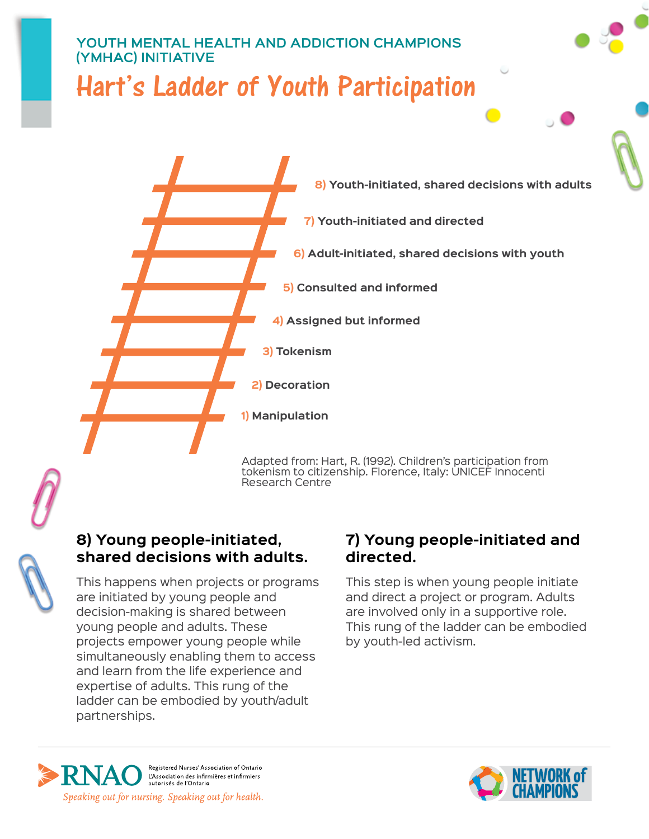# **Youth Mental Health and Addiction Champions (YMHAC) Initiative** Hart's Ladder of Youth Participation



## **8) Young people-initiated, shared decisions with adults.**

This happens when projects or programs are initiated by young people and decision-making is shared between young people and adults. These projects empower young people while simultaneously enabling them to access and learn from the life experience and expertise of adults. This rung of the ladder can be embodied by youth/adult partnerships.

### **7) Young people-initiated and directed.**

This step is when young people initiate and direct a project or program. Adults are involved only in a supportive role. This rung of the ladder can be embodied by youth-led activism.